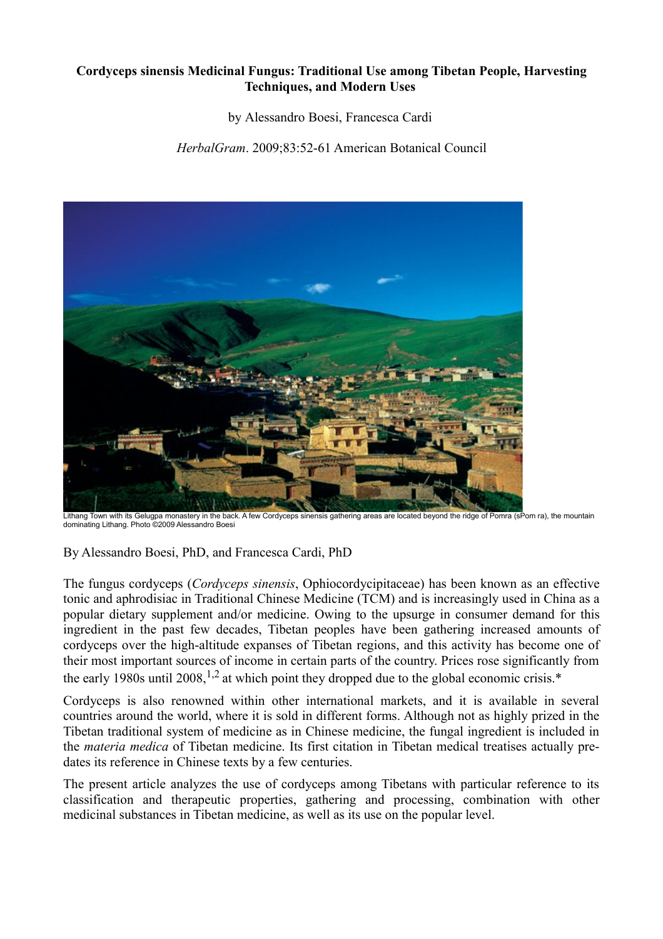### **Cordyceps sinensis Medicinal Fungus: Traditional Use among Tibetan People, Harvesting Techniques, and Modern Uses**

by Alessandro Boesi, Francesca Cardi

*HerbalGram*. 2009;83:52-61 American Botanical Council



Lithang Town with its Gelugpa monastery in the back. A few Cordyceps sinensis gathering areas are located beyond the ridge of Pomra (sPom ra), the mountain dominating Lithang. Photo ©2009 Alessandro Boesi

By Alessandro Boesi, PhD, and Francesca Cardi, PhD

The fungus cordyceps (*Cordyceps sinensis*, Ophiocordycipitaceae) has been known as an effective tonic and aphrodisiac in Traditional Chinese Medicine (TCM) and is increasingly used in China as a popular dietary supplement and/or medicine. Owing to the upsurge in consumer demand for this ingredient in the past few decades, Tibetan peoples have been gathering increased amounts of cordyceps over the high-altitude expanses of Tibetan regions, and this activity has become one of their most important sources of income in certain parts of the country. Prices rose significantly from the early 1980s until 2008,  $^{1,2}$  at which point they dropped due to the global economic crisis.\*

Cordyceps is also renowned within other international markets, and it is available in several countries around the world, where it is sold in different forms. Although not as highly prized in the Tibetan traditional system of medicine as in Chinese medicine, the fungal ingredient is included in the *materia medica* of Tibetan medicine. Its first citation in Tibetan medical treatises actually predates its reference in Chinese texts by a few centuries.

The present article analyzes the use of cordyceps among Tibetans with particular reference to its classification and therapeutic properties, gathering and processing, combination with other medicinal substances in Tibetan medicine, as well as its use on the popular level.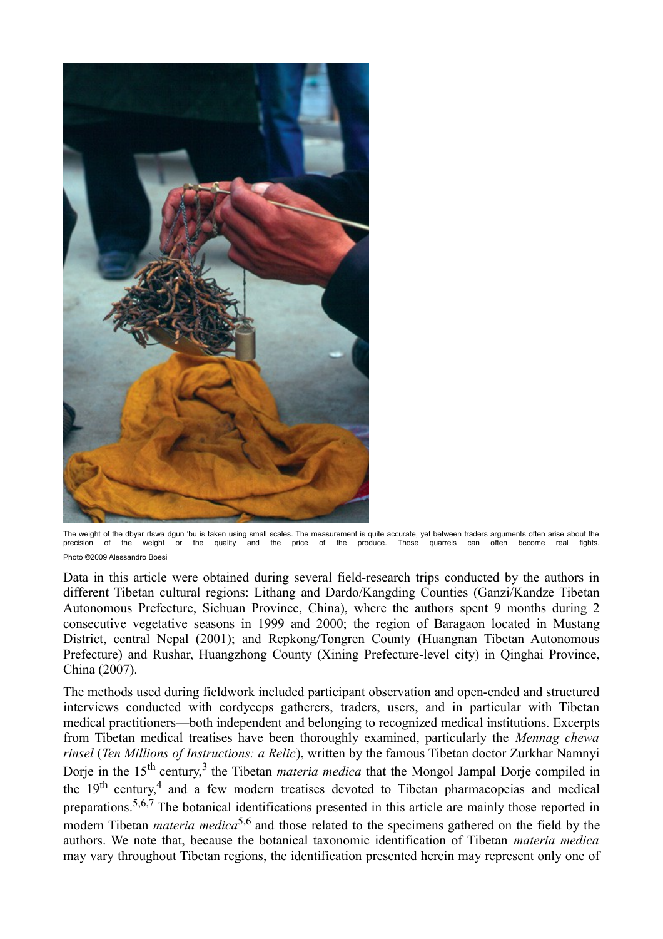

The weight of the dbyar rtswa dgun 'bu is taken using small scales. The measurement is quite accurate, yet between traders arguments often arise about the precision of the weight or the quality and the price of the produce. Those quarrels can often become real fights. Photo ©2009 Alessandro Boesi

Data in this article were obtained during several field-research trips conducted by the authors in different Tibetan cultural regions: Lithang and Dardo/Kangding Counties (Ganzi/Kandze Tibetan Autonomous Prefecture, Sichuan Province, China), where the authors spent 9 months during 2 consecutive vegetative seasons in 1999 and 2000; the region of Baragaon located in Mustang District, central Nepal (2001); and Repkong/Tongren County (Huangnan Tibetan Autonomous Prefecture) and Rushar, Huangzhong County (Xining Prefecture-level city) in Qinghai Province, China (2007).

The methods used during fieldwork included participant observation and open-ended and structured interviews conducted with cordyceps gatherers, traders, users, and in particular with Tibetan medical practitioners—both independent and belonging to recognized medical institutions. Excerpts from Tibetan medical treatises have been thoroughly examined, particularly the *Mennag chewa rinsel* (*Ten Millions of Instructions: a Relic*), written by the famous Tibetan doctor Zurkhar Namnyi Dorje in the 15<sup>th</sup> century,<sup>3</sup> the Tibetan *materia medica* that the Mongol Jampal Dorje compiled in the 19<sup>th</sup> century,<sup>4</sup> and a few modern treatises devoted to Tibetan pharmacopeias and medical preparations.5,6,7 The botanical identifications presented in this article are mainly those reported in modern Tibetan *materia medica*<sup>5,6</sup> and those related to the specimens gathered on the field by the authors. We note that, because the botanical taxonomic identification of Tibetan *materia medica* may vary throughout Tibetan regions, the identification presented herein may represent only one of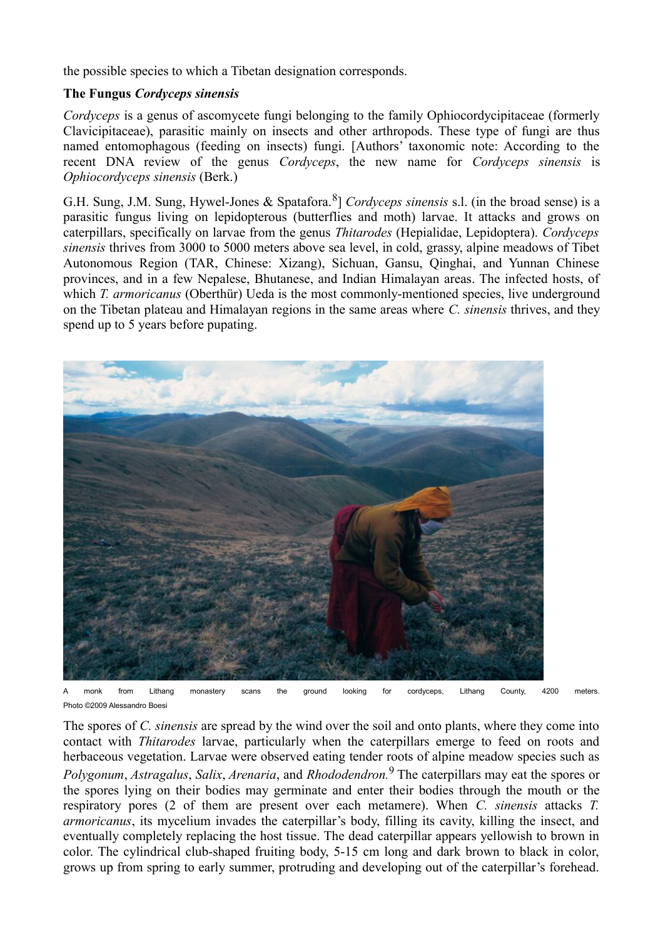the possible species to which a Tibetan designation corresponds.

## **The Fungus** *Cordyceps sinensis*

*Cordyceps* is a genus of ascomycete fungi belonging to the family Ophiocordycipitaceae (formerly Clavicipitaceae), parasitic mainly on insects and other arthropods. These type of fungi are thus named entomophagous (feeding on insects) fungi. [Authors' taxonomic note: According to the recent DNA review of the genus *Cordyceps*, the new name for *Cordyceps sinensis* is *Ophiocordyceps sinensis* (Berk.)

G.H. Sung, J.M. Sung, Hywel-Jones & Spatafora.<sup>8</sup>] *Cordyceps sinensis* s.l. (in the broad sense) is a parasitic fungus living on lepidopterous (butterflies and moth) larvae. It attacks and grows on caterpillars, specifically on larvae from the genus *Thitarodes* (Hepialidae, Lepidoptera). *Cordyceps sinensis* thrives from 3000 to 5000 meters above sea level, in cold, grassy, alpine meadows of Tibet Autonomous Region (TAR, Chinese: Xizang), Sichuan, Gansu, Qinghai, and Yunnan Chinese provinces, and in a few Nepalese, Bhutanese, and Indian Himalayan areas. The infected hosts, of which *T. armoricanus* (Oberthür) Ueda is the most commonly-mentioned species, live underground on the Tibetan plateau and Himalayan regions in the same areas where *C. sinensis* thrives, and they spend up to 5 years before pupating.



A monk from Lithang monastery scans the ground looking for cordyceps, Lithang County, 4200 meters. Photo ©2009 Alessandro Boesi

The spores of *C. sinensis* are spread by the wind over the soil and onto plants, where they come into contact with *Thitarodes* larvae, particularly when the caterpillars emerge to feed on roots and herbaceous vegetation. Larvae were observed eating tender roots of alpine meadow species such as *Polygonum*, *Astragalus*, *Salix*, *Arenaria*, and *Rhododendron.*9 The caterpillars may eat the spores or the spores lying on their bodies may germinate and enter their bodies through the mouth or the respiratory pores (2 of them are present over each metamere). When *C. sinensis* attacks *T. armoricanus*, its mycelium invades the caterpillar's body, filling its cavity, killing the insect, and eventually completely replacing the host tissue. The dead caterpillar appears yellowish to brown in color. The cylindrical club-shaped fruiting body, 5-15 cm long and dark brown to black in color, grows up from spring to early summer, protruding and developing out of the caterpillar's forehead.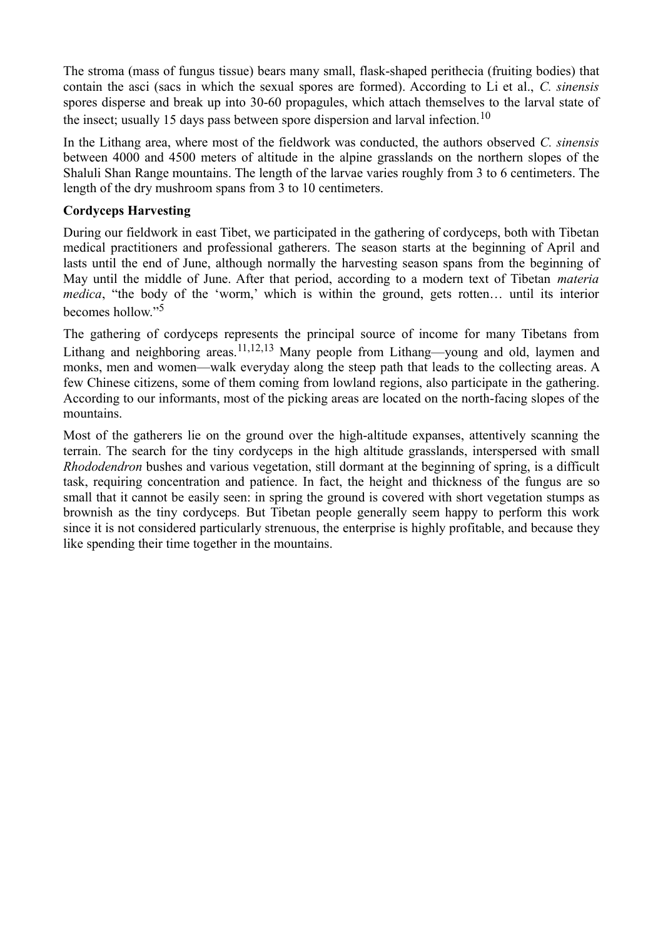The stroma (mass of fungus tissue) bears many small, flask-shaped perithecia (fruiting bodies) that contain the asci (sacs in which the sexual spores are formed). According to Li et al., *C. sinensis* spores disperse and break up into 30-60 propagules, which attach themselves to the larval state of the insect; usually 15 days pass between spore dispersion and larval infection.<sup>10</sup>

In the Lithang area, where most of the fieldwork was conducted, the authors observed *C. sinensis* between 4000 and 4500 meters of altitude in the alpine grasslands on the northern slopes of the Shaluli Shan Range mountains. The length of the larvae varies roughly from 3 to 6 centimeters. The length of the dry mushroom spans from 3 to 10 centimeters.

### **Cordyceps Harvesting**

During our fieldwork in east Tibet, we participated in the gathering of cordyceps, both with Tibetan medical practitioners and professional gatherers. The season starts at the beginning of April and lasts until the end of June, although normally the harvesting season spans from the beginning of May until the middle of June. After that period, according to a modern text of Tibetan *materia medica*, "the body of the 'worm,' which is within the ground, gets rotten... until its interior becomes hollow<sup>"5</sup>

The gathering of cordyceps represents the principal source of income for many Tibetans from Lithang and neighboring areas.<sup>11,12,13</sup> Many people from Lithang—young and old, laymen and monks, men and women—walk everyday along the steep path that leads to the collecting areas. A few Chinese citizens, some of them coming from lowland regions, also participate in the gathering. According to our informants, most of the picking areas are located on the north-facing slopes of the mountains.

Most of the gatherers lie on the ground over the high-altitude expanses, attentively scanning the terrain. The search for the tiny cordyceps in the high altitude grasslands, interspersed with small *Rhododendron* bushes and various vegetation, still dormant at the beginning of spring, is a difficult task, requiring concentration and patience. In fact, the height and thickness of the fungus are so small that it cannot be easily seen: in spring the ground is covered with short vegetation stumps as brownish as the tiny cordyceps*.* But Tibetan people generally seem happy to perform this work since it is not considered particularly strenuous, the enterprise is highly profitable, and because they like spending their time together in the mountains.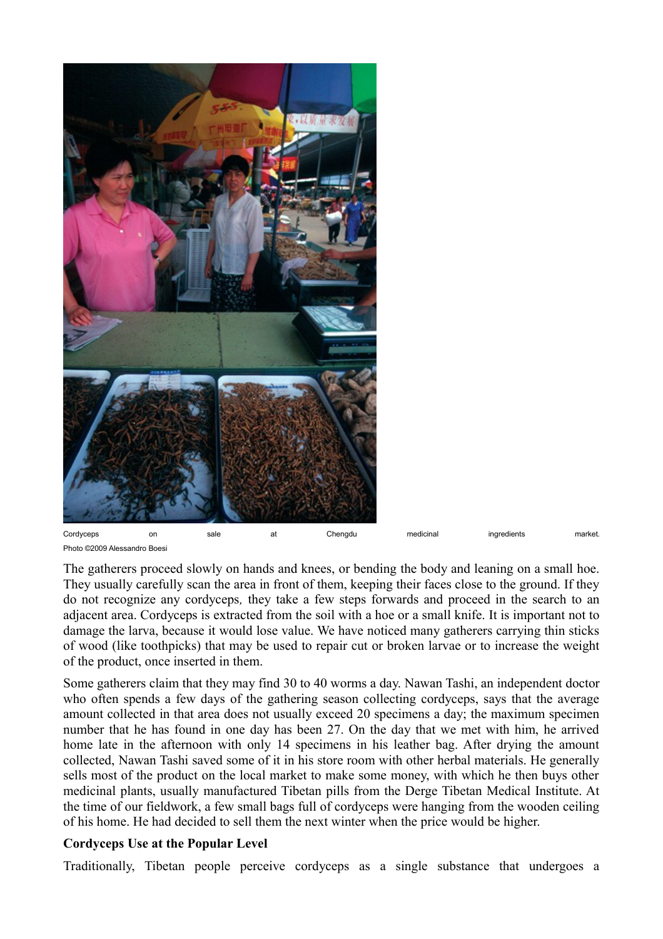

Photo ©2009 Alessandro Boesi

The gatherers proceed slowly on hands and knees, or bending the body and leaning on a small hoe. They usually carefully scan the area in front of them, keeping their faces close to the ground. If they do not recognize any cordyceps*,* they take a few steps forwards and proceed in the search to an adjacent area. Cordyceps is extracted from the soil with a hoe or a small knife. It is important not to damage the larva, because it would lose value. We have noticed many gatherers carrying thin sticks of wood (like toothpicks) that may be used to repair cut or broken larvae or to increase the weight of the product, once inserted in them.

Some gatherers claim that they may find 30 to 40 worms a day. Nawan Tashi, an independent doctor who often spends a few days of the gathering season collecting cordyceps, says that the average amount collected in that area does not usually exceed 20 specimens a day; the maximum specimen number that he has found in one day has been 27. On the day that we met with him, he arrived home late in the afternoon with only 14 specimens in his leather bag. After drying the amount collected, Nawan Tashi saved some of it in his store room with other herbal materials. He generally sells most of the product on the local market to make some money, with which he then buys other medicinal plants, usually manufactured Tibetan pills from the Derge Tibetan Medical Institute. At the time of our fieldwork, a few small bags full of cordyceps were hanging from the wooden ceiling of his home. He had decided to sell them the next winter when the price would be higher.

### **Cordyceps Use at the Popular Level**

Traditionally, Tibetan people perceive cordyceps as a single substance that undergoes a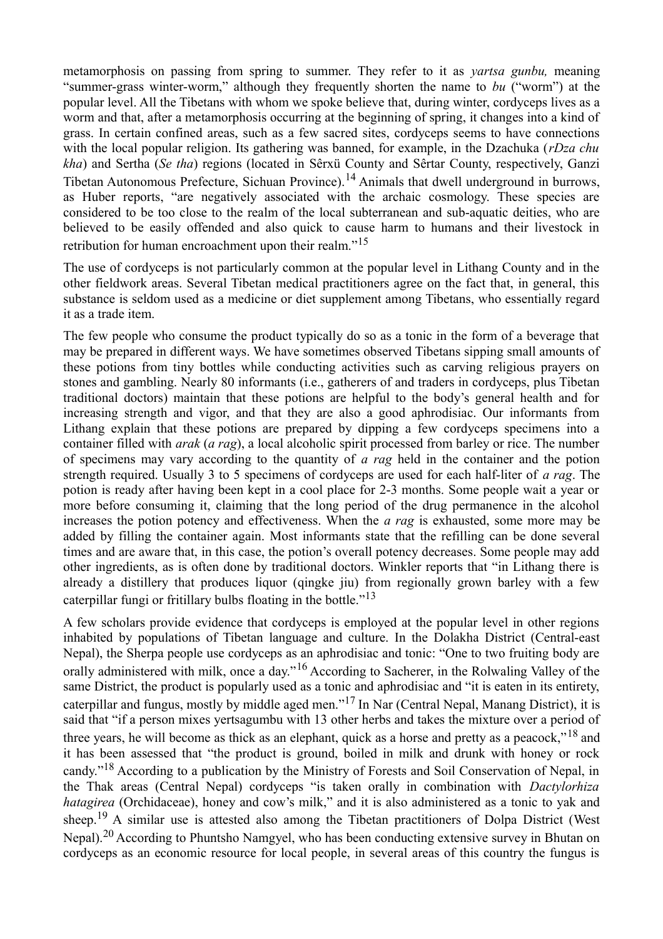metamorphosis on passing from spring to summer. They refer to it as *yartsa gunbu,* meaning "summer-grass winter-worm," although they frequently shorten the name to *bu* ("worm") at the popular level. All the Tibetans with whom we spoke believe that, during winter, cordyceps lives as a worm and that, after a metamorphosis occurring at the beginning of spring, it changes into a kind of grass. In certain confined areas, such as a few sacred sites, cordyceps seems to have connections with the local popular religion. Its gathering was banned, for example, in the Dzachuka (*rDza chu kha*) and Sertha (*Se tha*) regions (located in Sêrxü County and Sêrtar County, respectively, Ganzi Tibetan Autonomous Prefecture, Sichuan Province).<sup>14</sup> Animals that dwell underground in burrows, as Huber reports, "are negatively associated with the archaic cosmology. These species are considered to be too close to the realm of the local subterranean and sub-aquatic deities, who are believed to be easily offended and also quick to cause harm to humans and their livestock in retribution for human encroachment upon their realm."<sup>15</sup>

The use of cordyceps is not particularly common at the popular level in Lithang County and in the other fieldwork areas. Several Tibetan medical practitioners agree on the fact that, in general, this substance is seldom used as a medicine or diet supplement among Tibetans, who essentially regard it as a trade item.

The few people who consume the product typically do so as a tonic in the form of a beverage that may be prepared in different ways. We have sometimes observed Tibetans sipping small amounts of these potions from tiny bottles while conducting activities such as carving religious prayers on stones and gambling. Nearly 80 informants (i.e., gatherers of and traders in cordyceps, plus Tibetan traditional doctors) maintain that these potions are helpful to the body's general health and for increasing strength and vigor, and that they are also a good aphrodisiac. Our informants from Lithang explain that these potions are prepared by dipping a few cordyceps specimens into a container filled with *arak* (*a rag*), a local alcoholic spirit processed from barley or rice. The number of specimens may vary according to the quantity of *a rag* held in the container and the potion strength required. Usually 3 to 5 specimens of cordyceps are used for each half-liter of *a rag*. The potion is ready after having been kept in a cool place for 2-3 months. Some people wait a year or more before consuming it, claiming that the long period of the drug permanence in the alcohol increases the potion potency and effectiveness. When the *a rag* is exhausted, some more may be added by filling the container again. Most informants state that the refilling can be done several times and are aware that, in this case, the potion's overall potency decreases. Some people may add other ingredients, as is often done by traditional doctors. Winkler reports that "in Lithang there is already a distillery that produces liquor (qingke jiu) from regionally grown barley with a few caterpillar fungi or fritillary bulbs floating in the bottle. $13$ 

A few scholars provide evidence that cordyceps is employed at the popular level in other regions inhabited by populations of Tibetan language and culture. In the Dolakha District (Central-east Nepal), the Sherpa people use cordyceps as an aphrodisiac and tonic: "One to two fruiting body are orally administered with milk, once a day."<sup>16</sup> According to Sacherer, in the Rolwaling Valley of the same District, the product is popularly used as a tonic and aphrodisiac and "it is eaten in its entirety, caterpillar and fungus, mostly by middle aged men."17 In Nar (Central Nepal, Manang District), it is said that "if a person mixes yertsagumbu with 13 other herbs and takes the mixture over a period of three years, he will become as thick as an elephant, quick as a horse and pretty as a peacock,"<sup>18</sup> and it has been assessed that "the product is ground, boiled in milk and drunk with honey or rock candy."18 According to a publication by the Ministry of Forests and Soil Conservation of Nepal, in the Thak areas (Central Nepal) cordyceps "is taken orally in combination with *Dactylorhiza hatagirea* (Orchidaceae), honey and cow's milk," and it is also administered as a tonic to yak and sheep.<sup>19</sup> A similar use is attested also among the Tibetan practitioners of Dolpa District (West Nepal).<sup>20</sup> According to Phuntsho Namgyel, who has been conducting extensive survey in Bhutan on cordyceps as an economic resource for local people, in several areas of this country the fungus is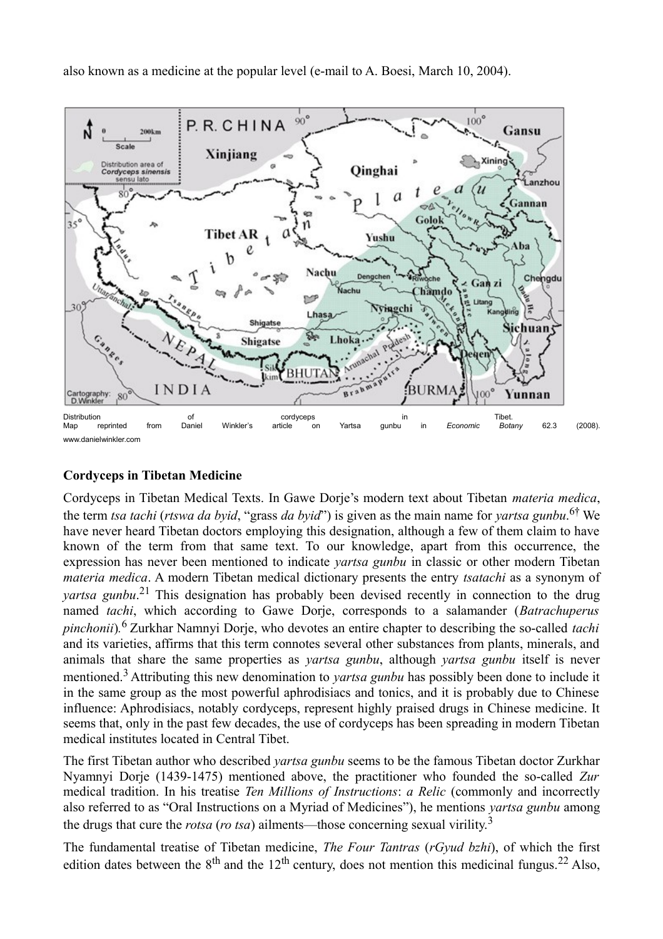also known as a medicine at the popular level (e-mail to A. Boesi, March 10, 2004).



# **Cordyceps in Tibetan Medicine**

Cordyceps in Tibetan Medical Texts. In Gawe Dorje's modern text about Tibetan *materia medica*, the term *tsa tachi* (*rtswa da byid*, "grass *da byid*") is given as the main name for *yartsa gunbu*. 6† We have never heard Tibetan doctors employing this designation, although a few of them claim to have known of the term from that same text. To our knowledge, apart from this occurrence, the expression has never been mentioned to indicate *yartsa gunbu* in classic or other modern Tibetan *materia medica*. A modern Tibetan medical dictionary presents the entry *tsatachi* as a synonym of *yartsa gunbu*.<sup>21</sup> This designation has probably been devised recently in connection to the drug named *tachi*, which according to Gawe Dorje, corresponds to a salamander (*Batrachuperus pinchonii*)*.* <sup>6</sup>Zurkhar Namnyi Dorje, who devotes an entire chapter to describing the so-called *tachi* and its varieties, affirms that this term connotes several other substances from plants, minerals, and animals that share the same properties as *yartsa gunbu*, although *yartsa gunbu* itself is never mentioned.3 Attributing this new denomination to *yartsa gunbu* has possibly been done to include it in the same group as the most powerful aphrodisiacs and tonics, and it is probably due to Chinese influence: Aphrodisiacs, notably cordyceps, represent highly praised drugs in Chinese medicine. It seems that, only in the past few decades, the use of cordyceps has been spreading in modern Tibetan medical institutes located in Central Tibet.

The first Tibetan author who described *yartsa gunbu* seems to be the famous Tibetan doctor Zurkhar Nyamnyi Dorje (1439-1475) mentioned above, the practitioner who founded the so-called *Zur* medical tradition. In his treatise *Ten Millions of Instructions*: *a Relic* (commonly and incorrectly also referred to as "Oral Instructions on a Myriad of Medicines"), he mentions *yartsa gunbu* among the drugs that cure the *rotsa* (*ro tsa*) ailments—those concerning sexual virility.<sup>3</sup>

The fundamental treatise of Tibetan medicine, *The Four Tantras* (*rGyud bzhi*), of which the first edition dates between the  $8<sup>th</sup>$  and the 12<sup>th</sup> century, does not mention this medicinal fungus.<sup>22</sup> Also,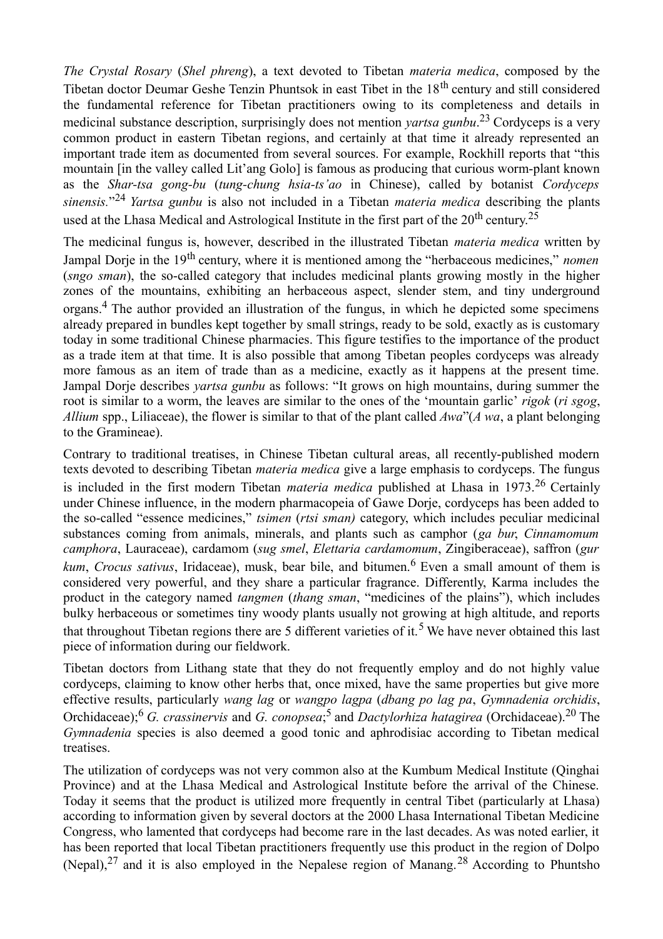*The Crystal Rosary* (*Shel phreng*), a text devoted to Tibetan *materia medica*, composed by the Tibetan doctor Deumar Geshe Tenzin Phuntsok in east Tibet in the 18<sup>th</sup> century and still considered the fundamental reference for Tibetan practitioners owing to its completeness and details in medicinal substance description, surprisingly does not mention *yartsa gunbu*.<sup>23</sup> Cordyceps is a very common product in eastern Tibetan regions, and certainly at that time it already represented an important trade item as documented from several sources. For example, Rockhill reports that "this mountain [in the valley called Lit'ang Golo] is famous as producing that curious worm-plant known as the *Shar-tsa gong-bu* (*tung-chung hsia-ts'ao* in Chinese), called by botanist *Cordyceps sinensis.*" <sup>24</sup>*Yartsa gunbu* is also not included in a Tibetan *materia medica* describing the plants used at the Lhasa Medical and Astrological Institute in the first part of the  $20^{th}$  century.<sup>25</sup>

The medicinal fungus is, however, described in the illustrated Tibetan *materia medica* written by Jampal Dorie in the 19<sup>th</sup> century, where it is mentioned among the "herbaceous medicines," *nomen* (*sngo sman*), the so-called category that includes medicinal plants growing mostly in the higher zones of the mountains, exhibiting an herbaceous aspect, slender stem, and tiny underground organs.4 The author provided an illustration of the fungus, in which he depicted some specimens already prepared in bundles kept together by small strings, ready to be sold, exactly as is customary today in some traditional Chinese pharmacies. This figure testifies to the importance of the product as a trade item at that time. It is also possible that among Tibetan peoples cordyceps was already more famous as an item of trade than as a medicine, exactly as it happens at the present time. Jampal Dorje describes *yartsa gunbu* as follows: "It grows on high mountains, during summer the root is similar to a worm, the leaves are similar to the ones of the 'mountain garlic' *rigok* (*ri sgog*, *Allium* spp., Liliaceae), the flower is similar to that of the plant called *Awa*"(*A wa*, a plant belonging to the Gramineae).

Contrary to traditional treatises, in Chinese Tibetan cultural areas, all recently-published modern texts devoted to describing Tibetan *materia medica* give a large emphasis to cordyceps. The fungus is included in the first modern Tibetan *materia medica* published at Lhasa in 1973.26 Certainly under Chinese influence, in the modern pharmacopeia of Gawe Dorje, cordyceps has been added to the so-called "essence medicines," *tsimen* (*rtsi sman)* category, which includes peculiar medicinal substances coming from animals, minerals, and plants such as camphor (*ga bur*, *Cinnamomum camphora*, Lauraceae), cardamom (*sug smel*, *Elettaria cardamomum*, Zingiberaceae), saffron (*gur kum, Crocus sativus, Iridaceae), musk, bear bile, and bitumen.<sup>6</sup> Even a small amount of them is* considered very powerful, and they share a particular fragrance. Differently, Karma includes the product in the category named *tangmen* (*thang sman*, "medicines of the plains"), which includes bulky herbaceous or sometimes tiny woody plants usually not growing at high altitude, and reports that throughout Tibetan regions there are 5 different varieties of it.<sup>5</sup> We have never obtained this last piece of information during our fieldwork.

Tibetan doctors from Lithang state that they do not frequently employ and do not highly value cordyceps, claiming to know other herbs that, once mixed, have the same properties but give more effective results, particularly *wang lag* or *wangpo lagpa* (*dbang po lag pa*, *Gymnadenia orchidis*, Orchidaceae);6 *G. crassinervis* and *G. conopsea*; <sup>5</sup>and *Dactylorhiza hatagirea* (Orchidaceae).20 The *Gymnadenia* species is also deemed a good tonic and aphrodisiac according to Tibetan medical treatises.

The utilization of cordyceps was not very common also at the Kumbum Medical Institute (Qinghai Province) and at the Lhasa Medical and Astrological Institute before the arrival of the Chinese. Today it seems that the product is utilized more frequently in central Tibet (particularly at Lhasa) according to information given by several doctors at the 2000 Lhasa International Tibetan Medicine Congress, who lamented that cordyceps had become rare in the last decades. As was noted earlier, it has been reported that local Tibetan practitioners frequently use this product in the region of Dolpo (Nepal),  $27$  and it is also employed in the Nepalese region of Manang.  $28$  According to Phuntsho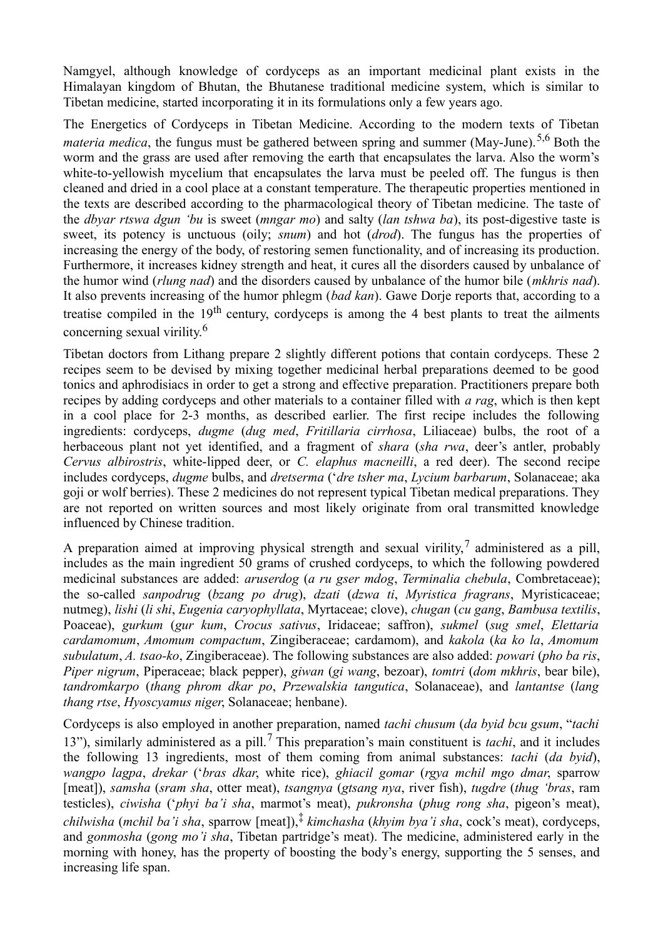Namgyel, although knowledge of cordyceps as an important medicinal plant exists in the Himalayan kingdom of Bhutan, the Bhutanese traditional medicine system, which is similar to Tibetan medicine, started incorporating it in its formulations only a few years ago.

The Energetics of Cordyceps in Tibetan Medicine. According to the modern texts of Tibetan *materia medica*, the fungus must be gathered between spring and summer (May-June).<sup>5,6</sup> Both the worm and the grass are used after removing the earth that encapsulates the larva. Also the worm's white-to-yellowish mycelium that encapsulates the larva must be peeled off. The fungus is then cleaned and dried in a cool place at a constant temperature. The therapeutic properties mentioned in the texts are described according to the pharmacological theory of Tibetan medicine. The taste of the *dbyar rtswa dgun 'bu* is sweet (*mngar mo*) and salty (*lan tshwa ba*), its post-digestive taste is sweet, its potency is unctuous (oily; *snum*) and hot (*drod*). The fungus has the properties of increasing the energy of the body, of restoring semen functionality, and of increasing its production. Furthermore, it increases kidney strength and heat, it cures all the disorders caused by unbalance of the humor wind (*rlung nad*) and the disorders caused by unbalance of the humor bile (*mkhris nad*). It also prevents increasing of the humor phlegm (*bad kan*). Gawe Dorje reports that, according to a treatise compiled in the  $19<sup>th</sup>$  century, cordyceps is among the 4 best plants to treat the ailments concerning sexual virility.<sup>6</sup>

Tibetan doctors from Lithang prepare 2 slightly different potions that contain cordyceps. These 2 recipes seem to be devised by mixing together medicinal herbal preparations deemed to be good tonics and aphrodisiacs in order to get a strong and effective preparation. Practitioners prepare both recipes by adding cordyceps and other materials to a container filled with *a rag*, which is then kept in a cool place for 2-3 months, as described earlier. The first recipe includes the following ingredients: cordyceps, *dugme* (*dug med*, *Fritillaria cirrhosa*, Liliaceae) bulbs, the root of a herbaceous plant not yet identified, and a fragment of *shara* (*sha rwa*, deer's antler, probably *Cervus albirostris*, white-lipped deer, or *C. elaphus macneilli*, a red deer). The second recipe includes cordyceps, *dugme* bulbs, and *dretserma* ('*dre tsher ma*, *Lycium barbarum*, Solanaceae; aka goji or wolf berries). These 2 medicines do not represent typical Tibetan medical preparations. They are not reported on written sources and most likely originate from oral transmitted knowledge influenced by Chinese tradition.

A preparation aimed at improving physical strength and sexual virility, administered as a pill, includes as the main ingredient 50 grams of crushed cordyceps, to which the following powdered medicinal substances are added: *aruserdog* (*a ru gser mdog*, *Terminalia chebula*, Combretaceae); the so-called *sanpodrug* (*bzang po drug*), *dzati* (*dzwa ti*, *Myristica fragrans*, Myristicaceae; nutmeg), *lishi* (*li shi*, *Eugenia caryophyllata*, Myrtaceae; clove), *chugan* (*cu gang*, *Bambusa textilis*, Poaceae), *gurkum* (*gur kum*, *Crocus sativus*, Iridaceae; saffron), *sukmel* (*sug smel*, *Elettaria cardamomum*, *Amomum compactum*, Zingiberaceae; cardamom), and *kakola* (*ka ko la*, *Amomum subulatum*, *A. tsao-ko*, Zingiberaceae). The following substances are also added: *powari* (*pho ba ris*, *Piper nigrum*, Piperaceae; black pepper), *giwan* (*gi wang*, bezoar), *tomtri* (*dom mkhris*, bear bile), *tandromkarpo* (*thang phrom dkar po*, *Przewalskia tangutica*, Solanaceae), and *lantantse* (*lang thang rtse*, *Hyoscyamus niger*, Solanaceae; henbane).

Cordyceps is also employed in another preparation, named *tachi chusum* (*da byid bcu gsum*, "*tachi* 13"), similarly administered as a pill.7 This preparation's main constituent is *tachi*, and it includes the following 13 ingredients, most of them coming from animal substances: *tachi* (*da byid*), *wangpo lagpa*, *drekar* ('*bras dkar*, white rice), *ghiacil gomar* (*rgya mchil mgo dmar*, sparrow [meat]), *samsha* (*sram sha*, otter meat), *tsangnya* (*gtsang nya*, river fish), *tugdre* (*thug 'bras*, ram testicles), *ciwisha* ('*phyi ba'i sha*, marmot's meat), *pukronsha* (*phug rong sha*, pigeon's meat), *chilwisha* (*mchil ba'i sha*, sparrow [meat]),‡ *kimchasha* (*khyim bya'i sha*, cock's meat), cordyceps, and *gonmosha* (*gong mo'i sha*, Tibetan partridge's meat). The medicine, administered early in the morning with honey, has the property of boosting the body's energy, supporting the 5 senses, and increasing life span.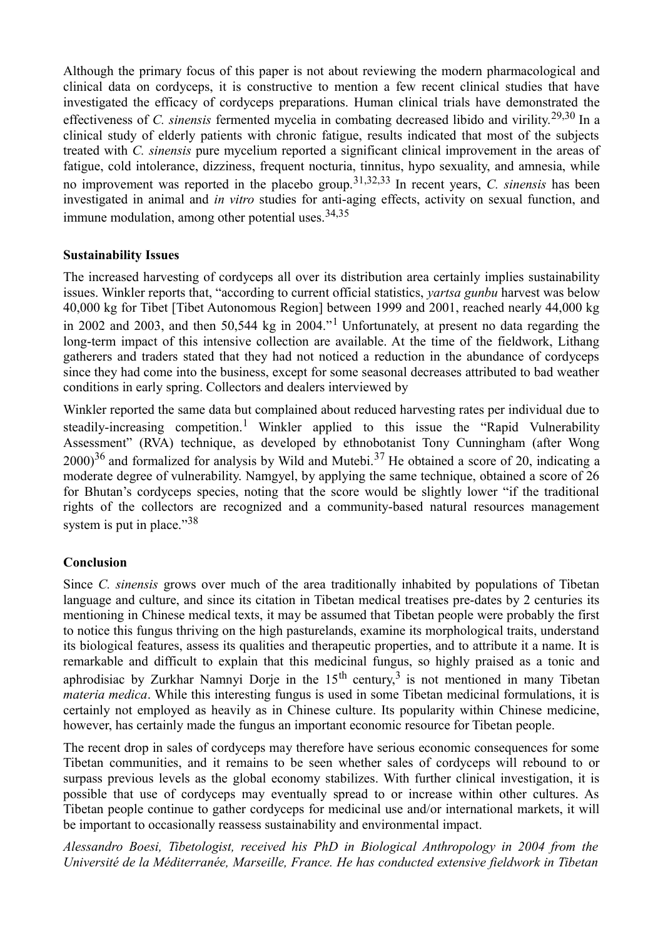Although the primary focus of this paper is not about reviewing the modern pharmacological and clinical data on cordyceps, it is constructive to mention a few recent clinical studies that have investigated the efficacy of cordyceps preparations. Human clinical trials have demonstrated the effectiveness of *C. sinensis* fermented mycelia in combating decreased libido and virility.29,30 In a clinical study of elderly patients with chronic fatigue, results indicated that most of the subjects treated with *C. sinensis* pure mycelium reported a significant clinical improvement in the areas of fatigue, cold intolerance, dizziness, frequent nocturia, tinnitus, hypo sexuality, and amnesia, while no improvement was reported in the placebo group.31,32,33 In recent years, *C. sinensis* has been investigated in animal and *in vitro* studies for anti-aging effects, activity on sexual function, and immune modulation, among other potential uses.  $34,35$ 

### **Sustainability Issues**

The increased harvesting of cordyceps all over its distribution area certainly implies sustainability issues. Winkler reports that, "according to current official statistics, *yartsa gunbu* harvest was below 40,000 kg for Tibet [Tibet Autonomous Region] between 1999 and 2001, reached nearly 44,000 kg in 2002 and 2003, and then 50,544 kg in 2004."1 Unfortunately, at present no data regarding the long-term impact of this intensive collection are available. At the time of the fieldwork, Lithang gatherers and traders stated that they had not noticed a reduction in the abundance of cordyceps since they had come into the business, except for some seasonal decreases attributed to bad weather conditions in early spring. Collectors and dealers interviewed by

Winkler reported the same data but complained about reduced harvesting rates per individual due to steadily-increasing competition.<sup>1</sup> Winkler applied to this issue the "Rapid Vulnerability" Assessment" (RVA) technique, as developed by ethnobotanist Tony Cunningham (after Wong  $2000$ <sup>36</sup> and formalized for analysis by Wild and Mutebi<sup>37</sup> He obtained a score of 20, indicating a moderate degree of vulnerability. Namgyel, by applying the same technique, obtained a score of 26 for Bhutan's cordyceps species, noting that the score would be slightly lower "if the traditional rights of the collectors are recognized and a community-based natural resources management system is put in place." $38$ 

### **Conclusion**

Since *C. sinensis* grows over much of the area traditionally inhabited by populations of Tibetan language and culture, and since its citation in Tibetan medical treatises pre-dates by 2 centuries its mentioning in Chinese medical texts, it may be assumed that Tibetan people were probably the first to notice this fungus thriving on the high pasturelands, examine its morphological traits, understand its biological features, assess its qualities and therapeutic properties, and to attribute it a name. It is remarkable and difficult to explain that this medicinal fungus, so highly praised as a tonic and aphrodisiac by Zurkhar Namnyi Dorje in the  $15<sup>th</sup>$  century,<sup>3</sup> is not mentioned in many Tibetan *materia medica*. While this interesting fungus is used in some Tibetan medicinal formulations, it is certainly not employed as heavily as in Chinese culture. Its popularity within Chinese medicine, however, has certainly made the fungus an important economic resource for Tibetan people.

The recent drop in sales of cordyceps may therefore have serious economic consequences for some Tibetan communities, and it remains to be seen whether sales of cordyceps will rebound to or surpass previous levels as the global economy stabilizes. With further clinical investigation, it is possible that use of cordyceps may eventually spread to or increase within other cultures. As Tibetan people continue to gather cordyceps for medicinal use and/or international markets, it will be important to occasionally reassess sustainability and environmental impact.

*Alessandro Boesi, Tibetologist, received his PhD in Biological Anthropology in 2004 from the Université de la Méditerranée, Marseille, France. He has conducted extensive fieldwork in Tibetan*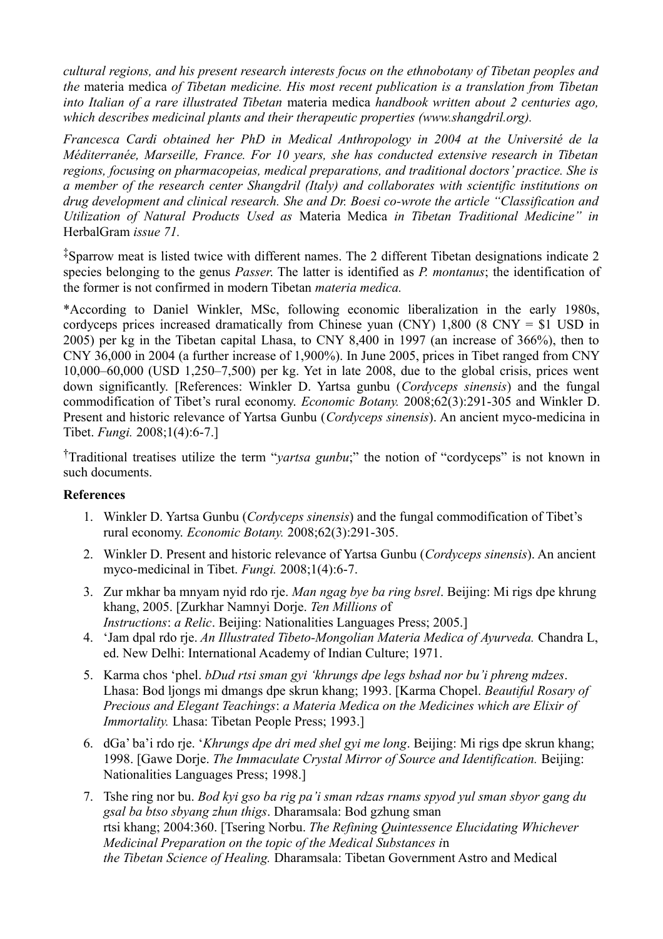*cultural regions, and his present research interests focus on the ethnobotany of Tibetan peoples and the* materia medica *of Tibetan medicine. His most recent publication is a translation from Tibetan into Italian of a rare illustrated Tibetan* materia medica *handbook written about 2 centuries ago, which describes medicinal plants and their therapeutic properties (www.shangdril.org).* 

*Francesca Cardi obtained her PhD in Medical Anthropology in 2004 at the Université de la Méditerranée, Marseille, France. For 10 years, she has conducted extensive research in Tibetan regions, focusing on pharmacopeias, medical preparations, and traditional doctors' practice. She is a member of the research center Shangdril (Italy) and collaborates with scientific institutions on drug development and clinical research. She and Dr. Boesi co-wrote the article "Classification and Utilization of Natural Products Used as* Materia Medica *in Tibetan Traditional Medicine" in* HerbalGram *issue 71.* 

‡Sparrow meat is listed twice with different names. The 2 different Tibetan designations indicate 2 species belonging to the genus *Passer*. The latter is identified as *P. montanus*; the identification of the former is not confirmed in modern Tibetan *materia medica.* 

\*According to Daniel Winkler, MSc, following economic liberalization in the early 1980s, cordyceps prices increased dramatically from Chinese yuan (CNY)  $1,800$  (8 CNY = \$1 USD in 2005) per kg in the Tibetan capital Lhasa, to CNY 8,400 in 1997 (an increase of 366%), then to CNY 36,000 in 2004 (a further increase of 1,900%). In June 2005, prices in Tibet ranged from CNY 10,000–60,000 (USD 1,250–7,500) per kg. Yet in late 2008, due to the global crisis, prices went down significantly. [References: Winkler D. Yartsa gunbu (*Cordyceps sinensis*) and the fungal commodification of Tibet's rural economy. *Economic Botany.* 2008;62(3):291-305 and Winkler D. Present and historic relevance of Yartsa Gunbu (*Cordyceps sinensis*). An ancient myco-medicina in Tibet. *Fungi.* 2008;1(4):6-7.]

†Traditional treatises utilize the term "*yartsa gunbu*;" the notion of "cordyceps" is not known in such documents.

#### **References**

- 1. Winkler D. Yartsa Gunbu (*Cordyceps sinensis*) and the fungal commodification of Tibet's rural economy. *Economic Botany.* 2008;62(3):291-305.
- 2. Winkler D. Present and historic relevance of Yartsa Gunbu (*Cordyceps sinensis*). An ancient myco-medicinal in Tibet. *Fungi.* 2008;1(4):6-7.
- 3. Zur mkhar ba mnyam nyid rdo rje. *Man ngag bye ba ring bsrel*. Beijing: Mi rigs dpe khrung khang, 2005. [Zurkhar Namnyi Dorje. *Ten Millions o*f *Instructions*: *a Relic*. Beijing: Nationalities Languages Press; 2005.]
- 4. 'Jam dpal rdo rje. *An Illustrated Tibeto-Mongolian Materia Medica of Ayurveda.* Chandra L, ed. New Delhi: International Academy of Indian Culture; 1971.
- 5. Karma chos 'phel. *bDud rtsi sman gyi 'khrungs dpe legs bshad nor bu'i phreng mdzes*. Lhasa: Bod ljongs mi dmangs dpe skrun khang; 1993. [Karma Chopel. *Beautiful Rosary of Precious and Elegant Teachings*: *a Materia Medica on the Medicines which are Elixir of Immortality.* Lhasa: Tibetan People Press; 1993.]
- 6. dGa' ba'i rdo rje. '*Khrungs dpe dri med shel gyi me long*. Beijing: Mi rigs dpe skrun khang; 1998. [Gawe Dorje. *The Immaculate Crystal Mirror of Source and Identification.* Beijing: Nationalities Languages Press; 1998.]
- 7. Tshe ring nor bu. *Bod kyi gso ba rig pa'i sman rdzas rnams spyod yul sman sbyor gang du gsal ba btso sbyang zhun thigs*. Dharamsala: Bod gzhung sman rtsi khang; 2004:360. [Tsering Norbu. *The Refining Quintessence Elucidating Whichever Medicinal Preparation on the topic of the Medical Substances i*n *the Tibetan Science of Healing.* Dharamsala: Tibetan Government Astro and Medical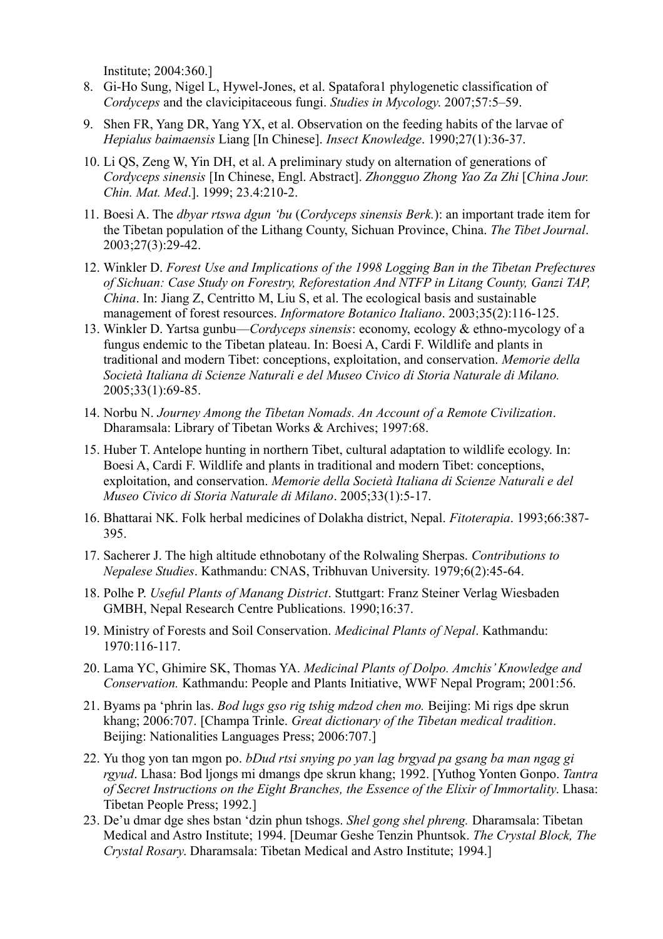Institute; 2004:360.]

- 8. Gi-Ho Sung, Nigel L, Hywel-Jones, et al. Spatafora1 phylogenetic classification of *Cordyceps* and the clavicipitaceous fungi. *Studies in Mycology*. 2007;57:5–59.
- 9. Shen FR, Yang DR, Yang YX, et al. Observation on the feeding habits of the larvae of *Hepialus baimaensis* Liang [In Chinese]. *Insect Knowledge*. 1990;27(1):36-37.
- 10. Li QS, Zeng W, Yin DH, et al. A preliminary study on alternation of generations of *Cordyceps sinensis* [In Chinese, Engl. Abstract]. *Zhongguo Zhong Yao Za Zhi* [*China Jour. Chin. Mat. Med*.]. 1999; 23.4:210-2.
- 11. Boesi A. The *dbyar rtswa dgun 'bu* (*Cordyceps sinensis Berk.*): an important trade item for the Tibetan population of the Lithang County, Sichuan Province, China. *The Tibet Journal*. 2003;27(3):29-42.
- 12. Winkler D. *Forest Use and Implications of the 1998 Logging Ban in the Tibetan Prefectures of Sichuan: Case Study on Forestry, Reforestation And NTFP in Litang County, Ganzi TAP, China*. In: Jiang Z, Centritto M, Liu S, et al. The ecological basis and sustainable management of forest resources. *Informatore Botanico Italiano*. 2003;35(2):116-125.
- 13. Winkler D. Yartsa gunbu—*Cordyceps sinensis*: economy, ecology & ethno-mycology of a fungus endemic to the Tibetan plateau. In: Boesi A, Cardi F. Wildlife and plants in traditional and modern Tibet: conceptions, exploitation, and conservation. *Memorie della Società Italiana di Scienze Naturali e del Museo Civico di Storia Naturale di Milano.*  2005;33(1):69-85.
- 14. Norbu N. *Journey Among the Tibetan Nomads. An Account of a Remote Civilization*. Dharamsala: Library of Tibetan Works & Archives; 1997:68.
- 15. Huber T. Antelope hunting in northern Tibet, cultural adaptation to wildlife ecology. In: Boesi A, Cardi F. Wildlife and plants in traditional and modern Tibet: conceptions, exploitation, and conservation. *Memorie della Società Italiana di Scienze Naturali e del Museo Civico di Storia Naturale di Milano*. 2005;33(1):5-17.
- 16. Bhattarai NK. Folk herbal medicines of Dolakha district, Nepal. *Fitoterapia*. 1993;66:387- 395.
- 17. Sacherer J. The high altitude ethnobotany of the Rolwaling Sherpas. *Contributions to Nepalese Studies*. Kathmandu: CNAS, Tribhuvan University. 1979;6(2):45-64.
- 18. Polhe P. *Useful Plants of Manang District*. Stuttgart: Franz Steiner Verlag Wiesbaden GMBH, Nepal Research Centre Publications. 1990;16:37.
- 19. Ministry of Forests and Soil Conservation. *Medicinal Plants of Nepal*. Kathmandu: 1970:116-117.
- 20. Lama YC, Ghimire SK, Thomas YA. *Medicinal Plants of Dolpo. Amchis' Knowledge and Conservation.* Kathmandu: People and Plants Initiative, WWF Nepal Program; 2001:56.
- 21. Byams pa 'phrin las. *Bod lugs gso rig tshig mdzod chen mo.* Beijing: Mi rigs dpe skrun khang; 2006:707. [Champa Trinle. *Great dictionary of the Tibetan medical tradition*. Beijing: Nationalities Languages Press; 2006:707.]
- 22. Yu thog yon tan mgon po. *bDud rtsi snying po yan lag brgyad pa gsang ba man ngag gi rgyud*. Lhasa: Bod ljongs mi dmangs dpe skrun khang; 1992. [Yuthog Yonten Gonpo. *Tantra of Secret Instructions on the Eight Branches, the Essence of the Elixir of Immortality*. Lhasa: Tibetan People Press; 1992.]
- 23. De'u dmar dge shes bstan 'dzin phun tshogs. *Shel gong shel phreng.* Dharamsala: Tibetan Medical and Astro Institute; 1994. [Deumar Geshe Tenzin Phuntsok. *The Crystal Block, The Crystal Rosary*. Dharamsala: Tibetan Medical and Astro Institute; 1994.]